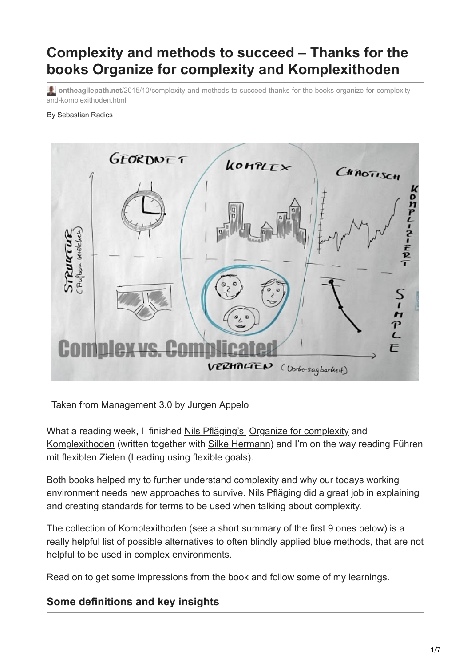# **Complexity and methods to succeed – Thanks for the books Organize for complexity and Komplexithoden**

**ontheagilepath.net**[/2015/10/complexity-and-methods-to-succeed-thanks-for-the-books-organize-for-complexity](https://www.ontheagilepath.net/2015/10/complexity-and-methods-to-succeed-thanks-for-the-books-organize-for-complexity-and-komplexithoden.html)and-komplexithoden.html

#### By Sebastian Radics



#### Taken from [Management 3.0 by Jurgen Appelo](https://management30.com/)

What a reading week, I finished [Nils Pfläging's](http://www.nielspflaeging.com/) [Organize for complexity](http://www.organizeforcomplexity.com/shop/) and [Komplexithoden](http://www.amazon.de/Komplexithoden-Clevere-Belebung-Unternehmen-Komplexit%C3%A4t/dp/3868815864) (written together with [Silke Hermann\)](http://beta.silkehermann.de/) and I'm on the way reading Führen mit flexiblen Zielen (Leading using flexible goals).

Both books helped my to further understand complexity and why our todays working environment needs new approaches to survive. [Nils Pfläging](http://www.nielspflaeging.com/) did a great job in explaining and creating standards for terms to be used when talking about complexity.

The collection of Komplexithoden (see a short summary of the first 9 ones below) is a really helpful list of possible alternatives to often blindly applied blue methods, that are not helpful to be used in complex environments.

Read on to get some impressions from the book and follow some of my learnings.

### **Some definitions and key insights**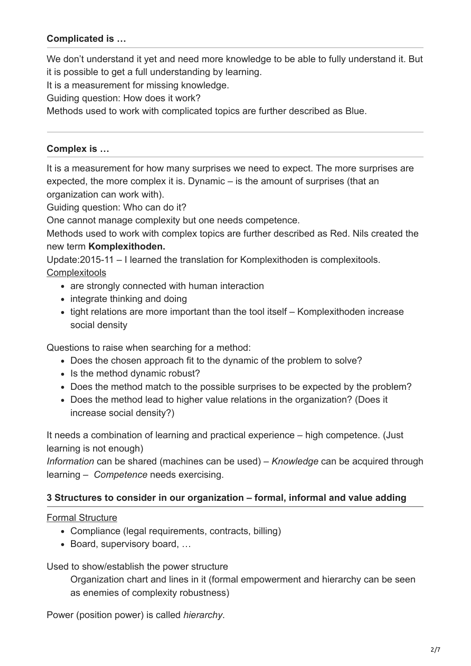### **Complicated is …**

We don't understand it yet and need more knowledge to be able to fully understand it. But it is possible to get a full understanding by learning.

It is a measurement for missing knowledge.

Guiding question: How does it work?

Methods used to work with complicated topics are further described as Blue.

#### **Complex is …**

It is a measurement for how many surprises we need to expect. The more surprises are expected, the more complex it is. Dynamic – is the amount of surprises (that an organization can work with).

Guiding question: Who can do it?

One cannot manage complexity but one needs competence.

Methods used to work with complex topics are further described as Red. Nils created the new term **Komplexithoden.**

Update:2015-11 – I learned the translation for Komplexithoden is complexitools. **Complexitools** 

- are strongly connected with human interaction
- integrate thinking and doing
- tight relations are more important than the tool itself Komplexithoden increase social density

Questions to raise when searching for a method:

- Does the chosen approach fit to the dynamic of the problem to solve?
- Is the method dynamic robust?
- Does the method match to the possible surprises to be expected by the problem?
- Does the method lead to higher value relations in the organization? (Does it increase social density?)

It needs a combination of learning and practical experience – high competence. (Just learning is not enough)

*Information* can be shared (machines can be used) – *Knowledge* can be acquired through learning – *Competence* needs exercising.

#### **3 Structures to consider in our organization – formal, informal and value adding**

#### Formal Structure

- Compliance (legal requirements, contracts, billing)
- Board, supervisory board, …

Used to show/establish the power structure

Organization chart and lines in it (formal empowerment and hierarchy can be seen as enemies of complexity robustness)

Power (position power) is called *hierarchy*.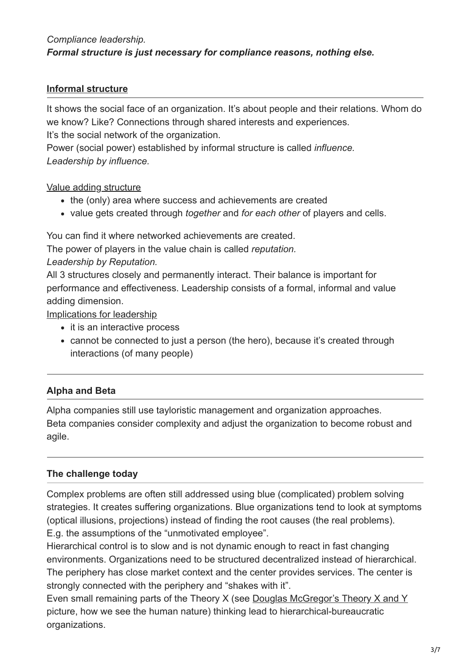### *Compliance leadership. Formal structure is just necessary for compliance reasons, nothing else.*

### **Informal structure**

It shows the social face of an organization. It's about people and their relations. Whom do we know? Like? Connections through shared interests and experiences.

It's the social network of the organization.

Power (social power) established by informal structure is called *influence. Leadership by influence.*

### Value adding structure

- the (only) area where success and achievements are created
- value gets created through *together* and *for each other* of players and cells.

You can find it where networked achievements are created.

The power of players in the value chain is called *reputation.*

### *Leadership by Reputation.*

All 3 structures closely and permanently interact. Their balance is important for performance and effectiveness. Leadership consists of a formal, informal and value adding dimension.

Implications for leadership

- it is an interactive process
- cannot be connected to just a person (the hero), because it's created through interactions (of many people)

### **Alpha and Beta**

Alpha companies still use tayloristic management and organization approaches. Beta companies consider complexity and adjust the organization to become robust and agile.

### **The challenge today**

Complex problems are often still addressed using blue (complicated) problem solving strategies. It creates suffering organizations. Blue organizations tend to look at symptoms (optical illusions, projections) instead of finding the root causes (the real problems). E.g. the assumptions of the "unmotivated employee".

Hierarchical control is to slow and is not dynamic enough to react in fast changing environments. Organizations need to be structured decentralized instead of hierarchical. The periphery has close market context and the center provides services. The center is strongly connected with the periphery and "shakes with it".

Even small remaining parts of the Theory X (see [Douglas McGregor's Theory X and Y](https://en.wikipedia.org/wiki/Theory_X_and_Theory_Y) picture, how we see the human nature) thinking lead to hierarchical-bureaucratic organizations.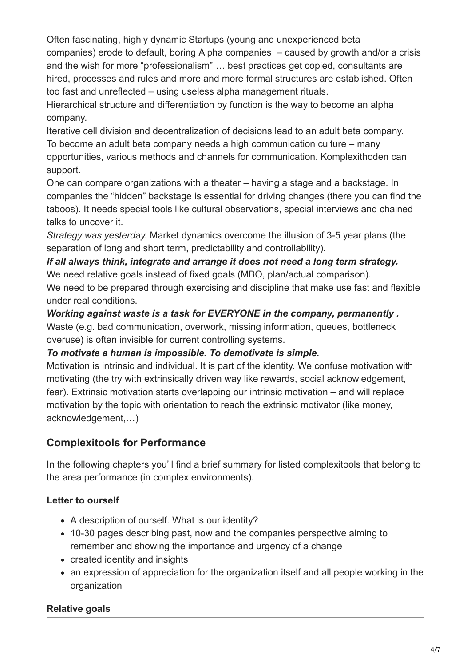Often fascinating, highly dynamic Startups (young and unexperienced beta companies) erode to default, boring Alpha companies – caused by growth and/or a crisis and the wish for more "professionalism" … best practices get copied, consultants are hired, processes and rules and more and more formal structures are established. Often too fast and unreflected – using useless alpha management rituals.

Hierarchical structure and differentiation by function is the way to become an alpha company.

Iterative cell division and decentralization of decisions lead to an adult beta company. To become an adult beta company needs a high communication culture – many opportunities, various methods and channels for communication. Komplexithoden can support.

One can compare organizations with a theater – having a stage and a backstage. In companies the "hidden" backstage is essential for driving changes (there you can find the taboos). It needs special tools like cultural observations, special interviews and chained talks to uncover it.

*Strategy was yesterday.* Market dynamics overcome the illusion of 3-5 year plans (the separation of long and short term, predictability and controllability).

#### *If all always think, integrate and arrange it does not need a long term strategy.* We need relative goals instead of fixed goals (MBO, plan/actual comparison).

We need to be prepared through exercising and discipline that make use fast and flexible under real conditions.

*Working against waste is a task for EVERYONE in the company, permanently .* Waste (e.g. bad communication, overwork, missing information, queues, bottleneck overuse) is often invisible for current controlling systems.

### *To motivate a human is impossible. To demotivate is simple.*

Motivation is intrinsic and individual. It is part of the identity. We confuse motivation with motivating (the try with extrinsically driven way like rewards, social acknowledgement, fear). Extrinsic motivation starts overlapping our intrinsic motivation – and will replace motivation by the topic with orientation to reach the extrinsic motivator (like money, acknowledgement,…)

## **Complexitools for Performance**

In the following chapters you'll find a brief summary for listed complexitools that belong to the area performance (in complex environments).

### **Letter to ourself**

- A description of ourself. What is our identity?
- 10-30 pages describing past, now and the companies perspective aiming to remember and showing the importance and urgency of a change
- created identity and insights
- an expression of appreciation for the organization itself and all people working in the organization

### **Relative goals**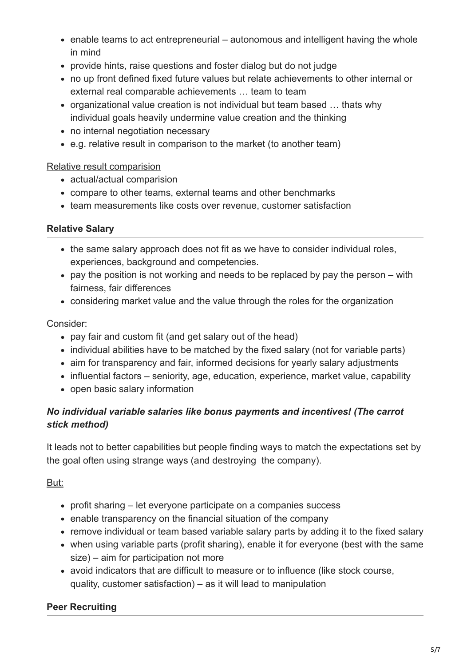- enable teams to act entrepreneurial autonomous and intelligent having the whole in mind
- provide hints, raise questions and foster dialog but do not judge
- no up front defined fixed future values but relate achievements to other internal or external real comparable achievements … team to team
- organizational value creation is not individual but team based … thats why individual goals heavily undermine value creation and the thinking
- no internal negotiation necessary
- e.g. relative result in comparison to the market (to another team)

### Relative result comparision

- actual/actual comparision
- compare to other teams, external teams and other benchmarks
- team measurements like costs over revenue, customer satisfaction

### **Relative Salary**

- the same salary approach does not fit as we have to consider individual roles, experiences, background and competencies.
- $\bullet$  pay the position is not working and needs to be replaced by pay the person with fairness, fair differences
- considering market value and the value through the roles for the organization

### Consider:

- pay fair and custom fit (and get salary out of the head)
- individual abilities have to be matched by the fixed salary (not for variable parts)
- aim for transparency and fair, informed decisions for yearly salary adjustments
- influential factors seniority, age, education, experience, market value, capability
- open basic salary information

### *No individual variable salaries like bonus payments and incentives! (The carrot stick method)*

It leads not to better capabilities but people finding ways to match the expectations set by the goal often using strange ways (and destroying the company).

### But:

- profit sharing let everyone participate on a companies success
- enable transparency on the financial situation of the company
- remove individual or team based variable salary parts by adding it to the fixed salary
- when using variable parts (profit sharing), enable it for everyone (best with the same size) – aim for participation not more
- avoid indicators that are difficult to measure or to influence (like stock course, quality, customer satisfaction) – as it will lead to manipulation

### **Peer Recruiting**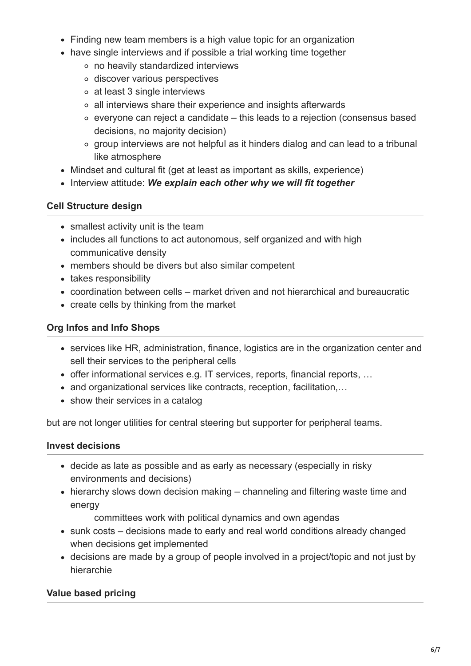- Finding new team members is a high value topic for an organization
- have single interviews and if possible a trial working time together
	- no heavily standardized interviews
	- discover various perspectives
	- at least 3 single interviews
	- all interviews share their experience and insights afterwards
	- everyone can reject a candidate this leads to a rejection (consensus based decisions, no majority decision)
	- group interviews are not helpful as it hinders dialog and can lead to a tribunal like atmosphere
- Mindset and cultural fit (get at least as important as skills, experience)
- Interview attitude: We explain each other why we will fit together

### **Cell Structure design**

- smallest activity unit is the team
- includes all functions to act autonomous, self organized and with high communicative density
- members should be divers but also similar competent
- takes responsibility
- coordination between cells market driven and not hierarchical and bureaucratic
- create cells by thinking from the market

### **Org Infos and Info Shops**

- services like HR, administration, finance, logistics are in the organization center and sell their services to the peripheral cells
- offer informational services e.g. IT services, reports, financial reports, …
- and organizational services like contracts, reception, facilitation,...
- show their services in a catalog

but are not longer utilities for central steering but supporter for peripheral teams.

#### **Invest decisions**

- decide as late as possible and as early as necessary (especially in risky environments and decisions)
- hierarchy slows down decision making channeling and filtering waste time and energy

committees work with political dynamics and own agendas

- sunk costs decisions made to early and real world conditions already changed when decisions get implemented
- decisions are made by a group of people involved in a project/topic and not just by hierarchie

### **Value based pricing**